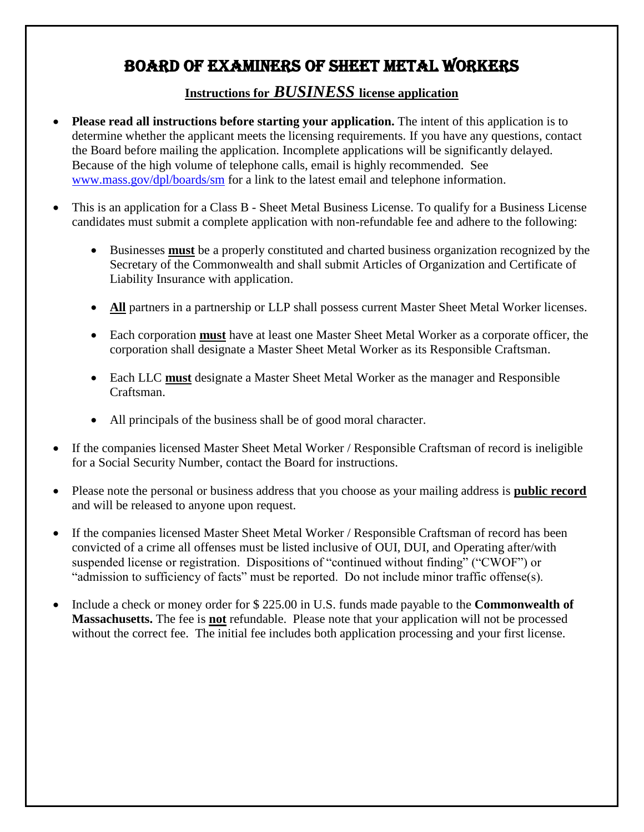# BOARD OF EXAMINERS OF SHEET METAL WORKERS

### **Instructions for** *BUSINESS* **license application**

- **Please read all instructions before starting your application.** The intent of this application is to determine whether the applicant meets the licensing requirements. If you have any questions, contact the Board before mailing the application. Incomplete applications will be significantly delayed. Because of the high volume of telephone calls, email is highly recommended. See [www.mass.gov/dpl/boards/sm](http://www.mass.gov/dpl/boards/sm) for a link to the latest email and telephone information.
- This is an application for a Class B Sheet Metal Business License. To qualify for a Business License candidates must submit a complete application with non-refundable fee and adhere to the following:
	- Businesses **must** be a properly constituted and charted business organization recognized by the Secretary of the Commonwealth and shall submit Articles of Organization and Certificate of Liability Insurance with application.
	- **All** partners in a partnership or LLP shall possess current Master Sheet Metal Worker licenses.
	- Each corporation **must** have at least one Master Sheet Metal Worker as a corporate officer, the corporation shall designate a Master Sheet Metal Worker as its Responsible Craftsman.
	- Each LLC **must** designate a Master Sheet Metal Worker as the manager and Responsible Craftsman.
	- All principals of the business shall be of good moral character.
- If the companies licensed Master Sheet Metal Worker / Responsible Craftsman of record is ineligible for a Social Security Number, contact the Board for instructions.
- Please note the personal or business address that you choose as your mailing address is **public record** and will be released to anyone upon request.
- If the companies licensed Master Sheet Metal Worker / Responsible Craftsman of record has been convicted of a crime all offenses must be listed inclusive of OUI, DUI, and Operating after/with suspended license or registration. Dispositions of "continued without finding" ("CWOF") or "admission to sufficiency of facts" must be reported. Do not include minor traffic offense(s).
- Include a check or money order for \$225.00 in U.S. funds made payable to the **Commonwealth of Massachusetts.** The fee is **not** refundable. Please note that your application will not be processed without the correct fee. The initial fee includes both application processing and your first license.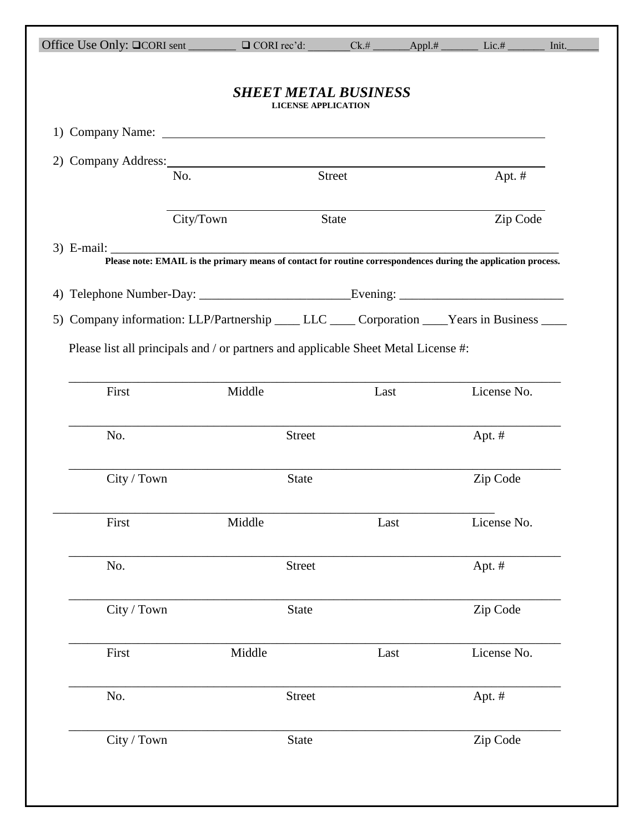|             | Office Use Only: $\Box$ CORI sent $\Box$ $\Box$ CORI rec'd:                                                                                                                                                                           |                                                           | $Ck.#$ $\longrightarrow$ Appl.# |                                                                                                                                  |  |
|-------------|---------------------------------------------------------------------------------------------------------------------------------------------------------------------------------------------------------------------------------------|-----------------------------------------------------------|---------------------------------|----------------------------------------------------------------------------------------------------------------------------------|--|
|             |                                                                                                                                                                                                                                       | <b>SHEET METAL BUSINESS</b><br><b>LICENSE APPLICATION</b> |                                 |                                                                                                                                  |  |
|             |                                                                                                                                                                                                                                       |                                                           |                                 |                                                                                                                                  |  |
|             | 2) Company Address: 2008 2010 12:00 2010 12:00:00 20:00 20:00 20:00 20:00 20:00 20:00 20:00 20:00 20:00 20:00 20:00 20:00 20:00 20:00 20:00 20:00 20:00 20:00 20:00 20:00 20:00 20:00 20:00 20:00 20:00 20:00 20:00 20:00 20:0<br>No. | Street                                                    |                                 | Apt. $#$                                                                                                                         |  |
|             | City/Town                                                                                                                                                                                                                             | <b>State</b>                                              |                                 | Zip Code                                                                                                                         |  |
|             |                                                                                                                                                                                                                                       |                                                           |                                 | 3) E-mail: <u>Please note: EMAIL is the primary means of contact for routine correspondences during the application process.</u> |  |
|             |                                                                                                                                                                                                                                       |                                                           |                                 |                                                                                                                                  |  |
|             |                                                                                                                                                                                                                                       |                                                           |                                 |                                                                                                                                  |  |
|             |                                                                                                                                                                                                                                       |                                                           |                                 | 5) Company information: LLP/Partnership ____ LLC ____ Corporation ____ Years in Business ____                                    |  |
|             | Please list all principals and / or partners and applicable Sheet Metal License #:                                                                                                                                                    |                                                           |                                 |                                                                                                                                  |  |
|             |                                                                                                                                                                                                                                       |                                                           |                                 |                                                                                                                                  |  |
|             |                                                                                                                                                                                                                                       |                                                           |                                 |                                                                                                                                  |  |
| First       | Middle                                                                                                                                                                                                                                |                                                           | Last                            | License No.                                                                                                                      |  |
| No.         |                                                                                                                                                                                                                                       | <b>Street</b>                                             |                                 | Apt. $#$                                                                                                                         |  |
| City / Town |                                                                                                                                                                                                                                       | <b>State</b>                                              |                                 | Zip Code                                                                                                                         |  |
| First       | Middle                                                                                                                                                                                                                                |                                                           | Last                            | License No.                                                                                                                      |  |
| No.         |                                                                                                                                                                                                                                       | <b>Street</b>                                             |                                 | Apt. #                                                                                                                           |  |
| City / Town |                                                                                                                                                                                                                                       | State                                                     |                                 | Zip Code                                                                                                                         |  |
| First       | Middle                                                                                                                                                                                                                                |                                                           | Last                            | License No.                                                                                                                      |  |
| No.         |                                                                                                                                                                                                                                       | <b>Street</b>                                             |                                 | Apt. #                                                                                                                           |  |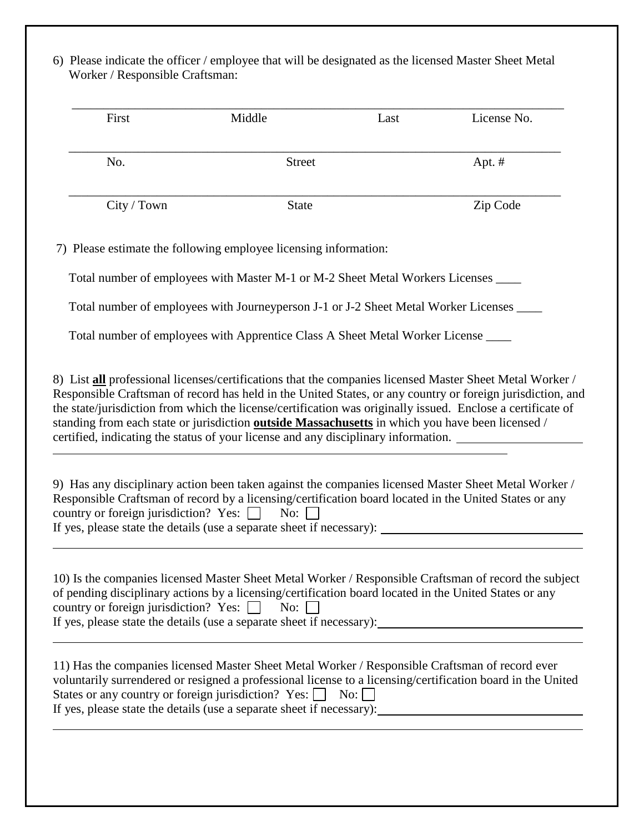6) Please indicate the officer / employee that will be designated as the licensed Master Sheet Metal Worker / Responsible Craftsman:

| First       | Middle        | Last | License No. |
|-------------|---------------|------|-------------|
| No.         | <b>Street</b> |      | Apt. $#$    |
| City / Town | <b>State</b>  |      | Zip Code    |

7) Please estimate the following employee licensing information:

Total number of employees with Master M-1 or M-2 Sheet Metal Workers Licenses \_\_\_\_

Total number of employees with Journeyperson J-1 or J-2 Sheet Metal Worker Licenses \_\_\_\_

Total number of employees with Apprentice Class A Sheet Metal Worker License \_\_\_\_

8) List **all** professional licenses/certifications that the companies licensed Master Sheet Metal Worker / Responsible Craftsman of record has held in the United States, or any country or foreign jurisdiction, and the state/jurisdiction from which the license/certification was originally issued. Enclose a certificate of standing from each state or jurisdiction **outside Massachusetts** in which you have been licensed / certified, indicating the status of your license and any disciplinary information.

֦

| 9) Has any disciplinary action been taken against the companies licensed Master Sheet Metal Worker /   |
|--------------------------------------------------------------------------------------------------------|
| Responsible Craftsman of record by a licensing/certification board located in the United States or any |
| country or foreign jurisdiction? Yes: $\Box$ No: $\Box$                                                |
| If yes, please state the details (use a separate sheet if necessary):                                  |

| 10) Is the companies licensed Master Sheet Metal Worker / Responsible Craftsman of record the subject  |
|--------------------------------------------------------------------------------------------------------|
| of pending disciplinary actions by a licensing/certification board located in the United States or any |
| country or foreign jurisdiction? Yes: $\Box$ No: $\Box$                                                |
| If yes, please state the details (use a separate sheet if necessary):                                  |

| 11) Has the companies licensed Master Sheet Metal Worker / Responsible Craftsman of record ever             |
|-------------------------------------------------------------------------------------------------------------|
| voluntarily surrendered or resigned a professional license to a licensing/certification board in the United |
| States or any country or foreign jurisdiction? Yes: $\begin{array}{ c c } \hline \end{array}$ No:           |
| If yes, please state the details (use a separate sheet if necessary):                                       |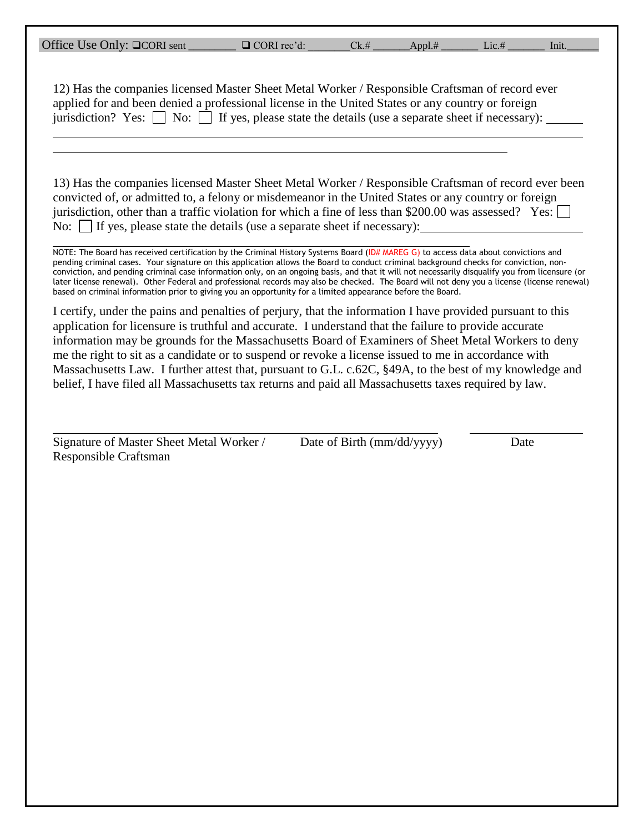| Office Use Only: □CORI sent | $\Box$ CORI rec'd: | Ck.# | Appl.# | L1C.# | lnıt. |  |
|-----------------------------|--------------------|------|--------|-------|-------|--|
|                             |                    |      |        |       |       |  |

| $\Box$ CORI rec'd: |  |
|--------------------|--|
|                    |  |

12) Has the companies licensed Master Sheet Metal Worker / Responsible Craftsman of record ever applied for and been denied a professional license in the United States or any country or foreign jurisdiction? Yes:  $\Box$  No:  $\Box$  If yes, please state the details (use a separate sheet if necessary):

13) Has the companies licensed Master Sheet Metal Worker / Responsible Craftsman of record ever been convicted of, or admitted to, a felony or misdemeanor in the United States or any country or foreign jurisdiction, other than a traffic violation for which a fine of less than \$200.00 was assessed? Yes: No:  $\vert$  If yes, please state the details (use a separate sheet if necessary):

NOTE: The Board has received certification by the Criminal History Systems Board (ID# MAREG G) to access data about convictions and pending criminal cases. Your signature on this application allows the Board to conduct criminal background checks for conviction, nonconviction, and pending criminal case information only, on an ongoing basis, and that it will not necessarily disqualify you from licensure (or later license renewal). Other Federal and professional records may also be checked. The Board will not deny you a license (license renewal) based on criminal information prior to giving you an opportunity for a limited appearance before the Board.

I certify, under the pains and penalties of perjury, that the information I have provided pursuant to this application for licensure is truthful and accurate. I understand that the failure to provide accurate information may be grounds for the Massachusetts Board of Examiners of Sheet Metal Workers to deny me the right to sit as a candidate or to suspend or revoke a license issued to me in accordance with Massachusetts Law. I further attest that, pursuant to G.L. c.62C, §49A, to the best of my knowledge and belief, I have filed all Massachusetts tax returns and paid all Massachusetts taxes required by law.

Signature of Master Sheet Metal Worker / Date of Birth (mm/dd/yyyy) Date Responsible Craftsman

l